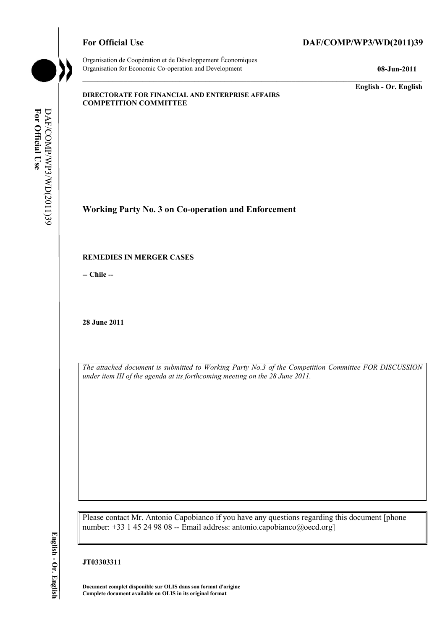

Organisation de Coopération et de Développement Économiques Organisation for Economic Co-operation and Development **08-Jun-2011** 

**English - Or. English** 

#### **DIRECTORATE FOR FINANCIAL AND ENTERPRISE AFFAIRS COMPETITION COMMITTEE**

**Working Party No. 3 on Co-operation and Enforcement** 

### **REMEDIES IN MERGER CASES**

**-- Chile --** 

**28 June 2011** 

*The attached document is submitted to Working Party No.3 of the Competition Committee FOR DISCUSSION under item III of the agenda at its forthcoming meeting on the 28 June 2011.* 

Please contact Mr. Antonio Capobianco if you have any questions regarding this document [phone number: +33 1 45 24 98 08 -- Email address: antonio.capobianco@oecd.org]

# **JT03303311**

**Document complet disponible sur OLIS dans son format d'origine Complete document available on OLIS in its original format**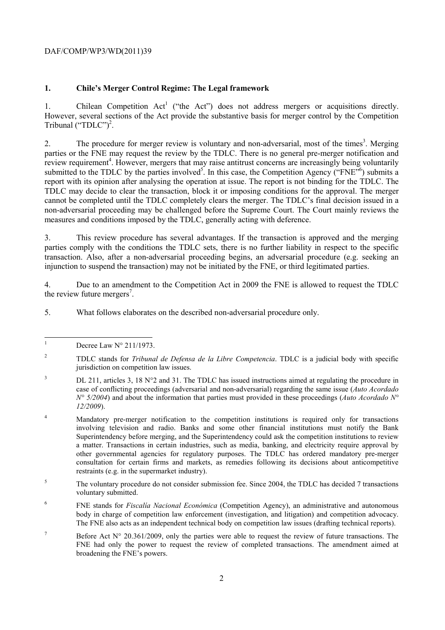## DAF/COMP/WP3/WD(2011)39

## **1. Chile's Merger Control Regime: The Legal framework**

1. Chilean Competition Act<sup>1</sup> ("the Act") does not address mergers or acquisitions directly. However, several sections of the Act provide the substantive basis for merger control by the Competition Tribunal  $("TDLC")^2$ .

2. The procedure for merger review is voluntary and non-adversarial, most of the times<sup>3</sup>. Merging parties or the FNE may request the review by the TDLC. There is no general pre-merger notification and review requirement<sup>4</sup>. However, mergers that may raise antitrust concerns are increasingly being voluntarily submitted to the TDLC by the parties involved<sup>5</sup>. In this case, the Competition Agency ("FNE"<sup>6</sup>) submits a report with its opinion after analysing the operation at issue. The report is not binding for the TDLC. The TDLC may decide to clear the transaction, block it or imposing conditions for the approval. The merger cannot be completed until the TDLC completely clears the merger. The TDLC's final decision issued in a non-adversarial proceeding may be challenged before the Supreme Court. The Court mainly reviews the measures and conditions imposed by the TDLC, generally acting with deference.

3. This review procedure has several advantages. If the transaction is approved and the merging parties comply with the conditions the TDLC sets, there is no further liability in respect to the specific transaction. Also, after a non-adversarial proceeding begins, an adversarial procedure (e.g. seeking an injunction to suspend the transaction) may not be initiated by the FNE, or third legitimated parties.

4. Due to an amendment to the Competition Act in 2009 the FNE is allowed to request the TDLC the review future mergers<sup>7</sup>.

5. What follows elaborates on the described non-adversarial procedure only.

 $\mathbf{1}$ Decree Law N° 211/1973.

- 3 DL 211, articles 3, 18 N°2 and 31. The TDLC has issued instructions aimed at regulating the procedure in case of conflicting proceedings (adversarial and non-adversarial) regarding the same issue (*Auto Acordado N° 5/2004*) and about the information that parties must provided in these proceedings (*Auto Acordado N° 12/2009*).
- 4 Mandatory pre-merger notification to the competition institutions is required only for transactions involving television and radio. Banks and some other financial institutions must notify the Bank Superintendency before merging, and the Superintendency could ask the competition institutions to review a matter. Transactions in certain industries, such as media, banking, and electricity require approval by other governmental agencies for regulatory purposes. The TDLC has ordered mandatory pre-merger consultation for certain firms and markets, as remedies following its decisions about anticompetitive restraints (e.g. in the supermarket industry).
- 5 The voluntary procedure do not consider submission fee. Since 2004, the TDLC has decided 7 transactions voluntary submitted.
- 6 FNE stands for *Fiscalía Nacional Económica* (Competition Agency), an administrative and autonomous body in charge of competition law enforcement (investigation, and litigation) and competition advocacy. The FNE also acts as an independent technical body on competition law issues (drafting technical reports).
- 7 Before Act  $N^{\circ}$  20.361/2009, only the parties were able to request the review of future transactions. The FNE had only the power to request the review of completed transactions. The amendment aimed at broadening the FNE's powers.

<sup>2</sup> TDLC stands for *Tribunal de Defensa de la Libre Competencia*. TDLC is a judicial body with specific jurisdiction on competition law issues.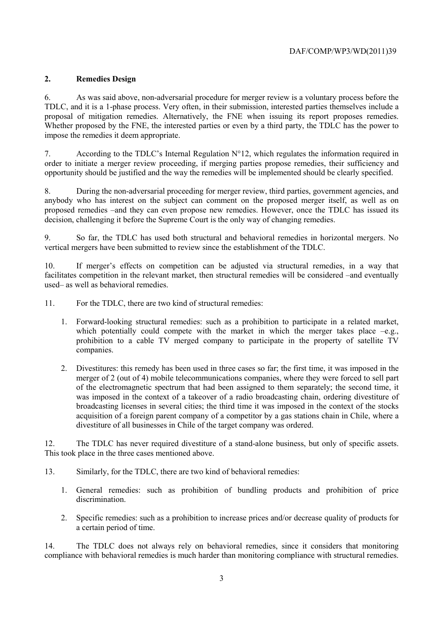# **2. Remedies Design**

6. As was said above, non-adversarial procedure for merger review is a voluntary process before the TDLC, and it is a 1-phase process. Very often, in their submission, interested parties themselves include a proposal of mitigation remedies. Alternatively, the FNE when issuing its report proposes remedies. Whether proposed by the FNE, the interested parties or even by a third party, the TDLC has the power to impose the remedies it deem appropriate.

7. According to the TDLC's Internal Regulation  $N^{\circ}12$ , which regulates the information required in order to initiate a merger review proceeding, if merging parties propose remedies, their sufficiency and opportunity should be justified and the way the remedies will be implemented should be clearly specified.

8. During the non-adversarial proceeding for merger review, third parties, government agencies, and anybody who has interest on the subject can comment on the proposed merger itself, as well as on proposed remedies –and they can even propose new remedies. However, once the TDLC has issued its decision, challenging it before the Supreme Court is the only way of changing remedies.

9. So far, the TDLC has used both structural and behavioral remedies in horizontal mergers. No vertical mergers have been submitted to review since the establishment of the TDLC.

10. If merger's effects on competition can be adjusted via structural remedies, in a way that facilitates competition in the relevant market, then structural remedies will be considered –and eventually used– as well as behavioral remedies.

11. For the TDLC, there are two kind of structural remedies:

- 1. Forward-looking structural remedies: such as a prohibition to participate in a related market, which potentially could compete with the market in which the merger takes place  $-e.g.,$ prohibition to a cable TV merged company to participate in the property of satellite TV companies.
- 2. Divestitures: this remedy has been used in three cases so far; the first time, it was imposed in the merger of 2 (out of 4) mobile telecommunications companies, where they were forced to sell part of the electromagnetic spectrum that had been assigned to them separately; the second time, it was imposed in the context of a takeover of a radio broadcasting chain, ordering divestiture of broadcasting licenses in several cities; the third time it was imposed in the context of the stocks acquisition of a foreign parent company of a competitor by a gas stations chain in Chile, where a divestiture of all businesses in Chile of the target company was ordered.

12. The TDLC has never required divestiture of a stand-alone business, but only of specific assets. This took place in the three cases mentioned above.

13. Similarly, for the TDLC, there are two kind of behavioral remedies:

- 1. General remedies: such as prohibition of bundling products and prohibition of price discrimination.
- 2. Specific remedies: such as a prohibition to increase prices and/or decrease quality of products for a certain period of time.

14. The TDLC does not always rely on behavioral remedies, since it considers that monitoring compliance with behavioral remedies is much harder than monitoring compliance with structural remedies.